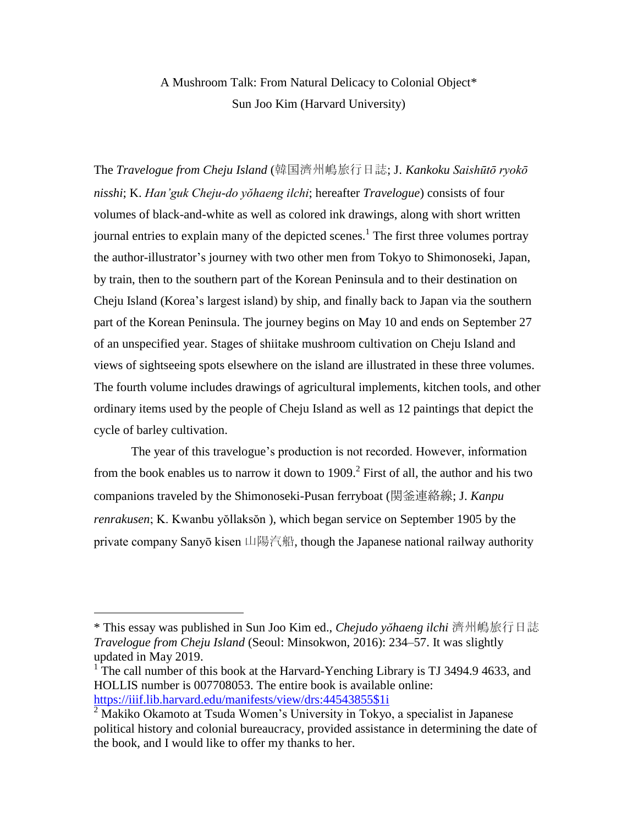## A Mushroom Talk: From Natural Delicacy to Colonial Object\* Sun Joo Kim (Harvard University)

The *Travelogue from Cheju Island* (韓国濟州嶋旅行日誌; J. *Kankoku Saishūtō ryokō nisshi*; K. *Han'guk Cheju-do yŏhaeng ilchi*; hereafter *Travelogue*) consists of four volumes of black-and-white as well as colored ink drawings, along with short written journal entries to explain many of the depicted scenes.<sup>1</sup> The first three volumes portray the author-illustrator's journey with two other men from Tokyo to Shimonoseki, Japan, by train, then to the southern part of the Korean Peninsula and to their destination on Cheju Island (Korea's largest island) by ship, and finally back to Japan via the southern part of the Korean Peninsula. The journey begins on May 10 and ends on September 27 of an unspecified year. Stages of shiitake mushroom cultivation on Cheju Island and views of sightseeing spots elsewhere on the island are illustrated in these three volumes. The fourth volume includes drawings of agricultural implements, kitchen tools, and other ordinary items used by the people of Cheju Island as well as 12 paintings that depict the cycle of barley cultivation.

The year of this travelogue's production is not recorded. However, information from the book enables us to narrow it down to  $1909$ <sup>2</sup>. First of all, the author and his two companions traveled by the Shimonoseki-Pusan ferryboat (関釜連絡線; J. *Kanpu renrakusen*; K. Kwanbu yŏllaksŏn ), which began service on September 1905 by the private company Sanyō kisen 山陽汽船, though the Japanese national railway authority

<sup>\*</sup> This essay was published in Sun Joo Kim ed., *Chejudo yŏhaeng ilchi* 濟州嶋旅行日誌 *Travelogue from Cheju Island* (Seoul: Minsokwon, 2016): 234–57. It was slightly updated in May 2019.

<sup>&</sup>lt;sup>1</sup> The call number of this book at the Harvard-Yenching Library is TJ 3494.9 4633, and HOLLIS number is 007708053. The entire book is available online: [https://iiif.lib.harvard.edu/manifests/view/drs:44543855\\$1i](https://iiif.lib.harvard.edu/manifests/view/drs:44543855$1i)

<sup>&</sup>lt;sup>2</sup> Makiko Okamoto at Tsuda Women's University in Tokyo, a specialist in Japanese political history and colonial bureaucracy, provided assistance in determining the date of the book, and I would like to offer my thanks to her.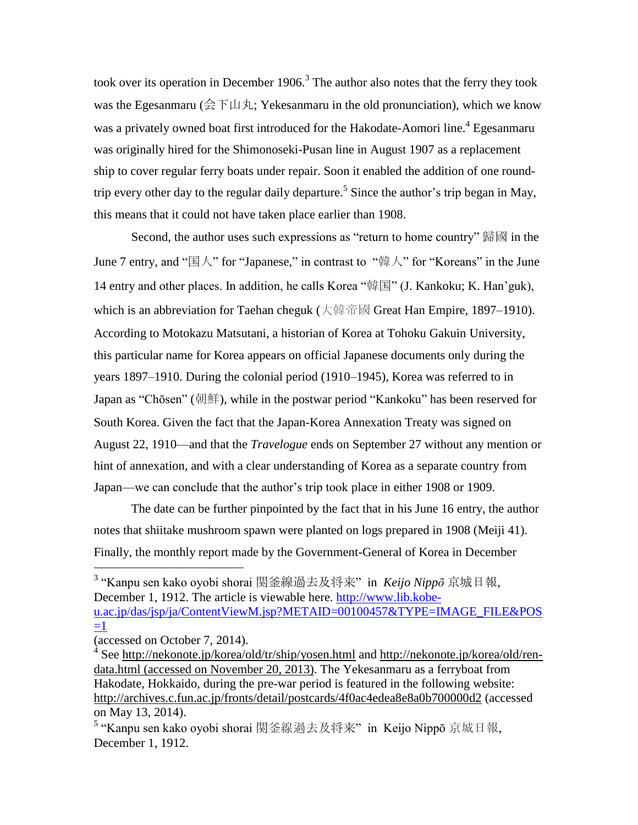took over its operation in December 1906.<sup>3</sup> The author also notes that the ferry they took was the Egesanmaru (会下山丸; Yekesanmaru in the old pronunciation), which we know was a privately owned boat first introduced for the Hakodate-Aomori line.<sup>4</sup> Egesanmaru was originally hired for the Shimonoseki-Pusan line in August 1907 as a replacement ship to cover regular ferry boats under repair. Soon it enabled the addition of one roundtrip every other day to the regular daily departure.<sup>5</sup> Since the author's trip began in May, this means that it could not have taken place earlier than 1908.

Second, the author uses such expressions as "return to home country" 歸國 in the June 7 entry, and "国人" for "Japanese," in contrast to "韓人" for "Koreans" in the June 14 entry and other places. In addition, he calls Korea "韓国" (J. Kankoku; K. Han'guk), which is an abbreviation for Taehan cheguk (大韓帝國 Great Han Empire, 1897–1910). According to Motokazu Matsutani, a historian of Korea at Tohoku Gakuin University, this particular name for Korea appears on official Japanese documents only during the years 1897–1910. During the colonial period (1910–1945), Korea was referred to in Japan as "Chōsen" (朝鮮), while in the postwar period "Kankoku" has been reserved for South Korea. Given the fact that the Japan-Korea Annexation Treaty was signed on August 22, 1910—and that the *Travelogue* ends on September 27 without any mention or hint of annexation, and with a clear understanding of Korea as a separate country from Japan—we can conclude that the author's trip took place in either 1908 or 1909.

The date can be further pinpointed by the fact that in his June 16 entry, the author notes that shiitake mushroom spawn were planted on logs prepared in 1908 (Meiji 41). Finally, the monthly report made by the Government-General of Korea in December

3 "Kanpu sen kako oyobi shorai 関釜線過去及将来" in *Keijo Nippō* 京城日報, December 1, 1912. The article is viewable here. [http://www.lib.kobe](http://www.lib.kobe-u.ac.jp/das/jsp/ja/ContentViewM.jsp?METAID=00100457&TYPE=IMAGE_FILE&POS=1)[u.ac.jp/das/jsp/ja/ContentViewM.jsp?METAID=00100457&TYPE=IMAGE\\_FILE&POS](http://www.lib.kobe-u.ac.jp/das/jsp/ja/ContentViewM.jsp?METAID=00100457&TYPE=IMAGE_FILE&POS=1)  $=1$ 

<sup>(</sup>accessed on October 7, 2014).

<sup>&</sup>lt;sup>4</sup> See<http://nekonote.jp/korea/old/tr/ship/yosen.html> and [http://nekonote.jp/korea/old/ren](http://nekonote.jp/korea/old/ren-data.html)[data.html](http://nekonote.jp/korea/old/ren-data.html) (accessed on November 20, 2013). The Yekesanmaru as a ferryboat from Hakodate, Hokkaido, during the pre-war period is featured in the following website: <http://archives.c.fun.ac.jp/fronts/detail/postcards/4f0ac4edea8e8a0b700000d2> (accessed on May 13, 2014).

<sup>&</sup>lt;sup>5</sup> "Kanpu sen kako oyobi shorai 関釜線過去及将来" in Keijo Nippō 京城日報, December 1, 1912.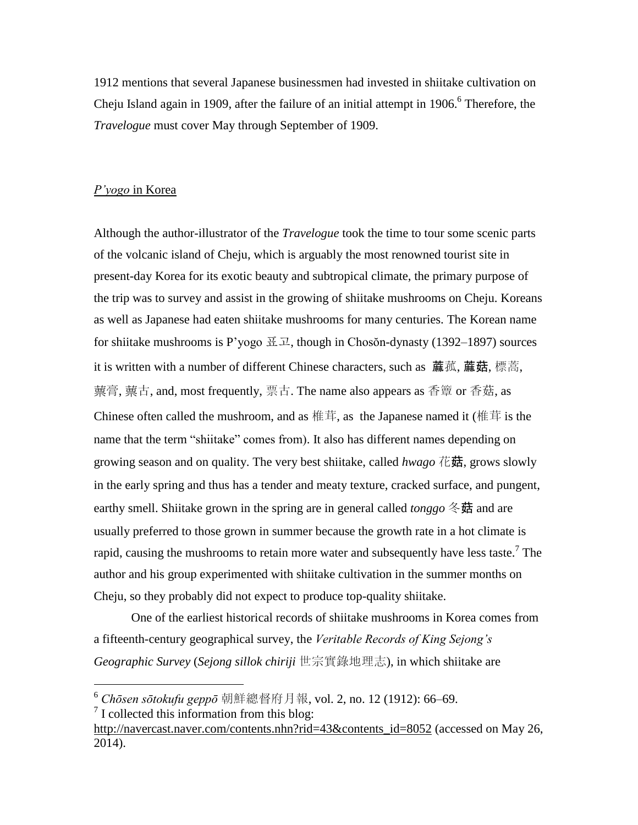1912 mentions that several Japanese businessmen had invested in shiitake cultivation on Cheju Island again in 1909, after the failure of an initial attempt in  $1906$ .<sup>6</sup> Therefore, the *Travelogue* must cover May through September of 1909.

## *P'yogo* in Korea

Although the author-illustrator of the *Travelogue* took the time to tour some scenic parts of the volcanic island of Cheju, which is arguably the most renowned tourist site in present-day Korea for its exotic beauty and subtropical climate, the primary purpose of the trip was to survey and assist in the growing of shiitake mushrooms on Cheju. Koreans as well as Japanese had eaten shiitake mushrooms for many centuries. The Korean name for shiitake mushrooms is P'yogo  $\mathbb{H} \mathbb{L}$ , though in Chosŏn-dynasty (1392–1897) sources it is written with a number of different Chinese characters, such as **[蔴](http://hanja.naver.com/search?query=%E8%98%91)[菰](http://hanja.naver.com/search?query=%E8%98%91), [蔴菇](http://hanja.naver.com/search?query=%E8%98%91)**, 標蒿, 蔈膏, 蔈古, and, most frequently, 票古. The name also appears as 香簟 or 香菇, as Chinese often called the mushroom, and as 椎茸, as the Japanese named it (椎茸 is the name that the term "shiitake" comes from). It also has different names depending on growing season and on quality. The very best shiitake, called *hwago* 花菇, grows slowly in the early spring and thus has a tender and meaty texture, cracked surface, and pungent, earthy smell. Shiitake grown in the spring are in general called *tonggo* 冬菇 and are usually preferred to those grown in summer because the growth rate in a hot climate is rapid, causing the mushrooms to retain more water and subsequently have less taste.<sup>7</sup> The author and his group experimented with shiitake cultivation in the summer months on Cheju, so they probably did not expect to produce top-quality shiitake.

One of the earliest historical records of shiitake mushrooms in Korea comes from a fifteenth-century geographical survey, the *Veritable Records of King Sejong's Geographic Survey* (*Sejong sillok chiriji* 世宗實錄地理志), in which shiitake are

<sup>6</sup> *Chōsen sōtokufu geppō* 朝鮮總督府月報, vol. 2, no. 12 (1912): 66–69.

<sup>&</sup>lt;sup>7</sup> I collected this information from this blog:

[http://navercast.naver.com/contents.nhn?rid=43&contents\\_id=8052](http://navercast.naver.com/contents.nhn?rid=43&contents_id=8052) (accessed on May 26, 2014).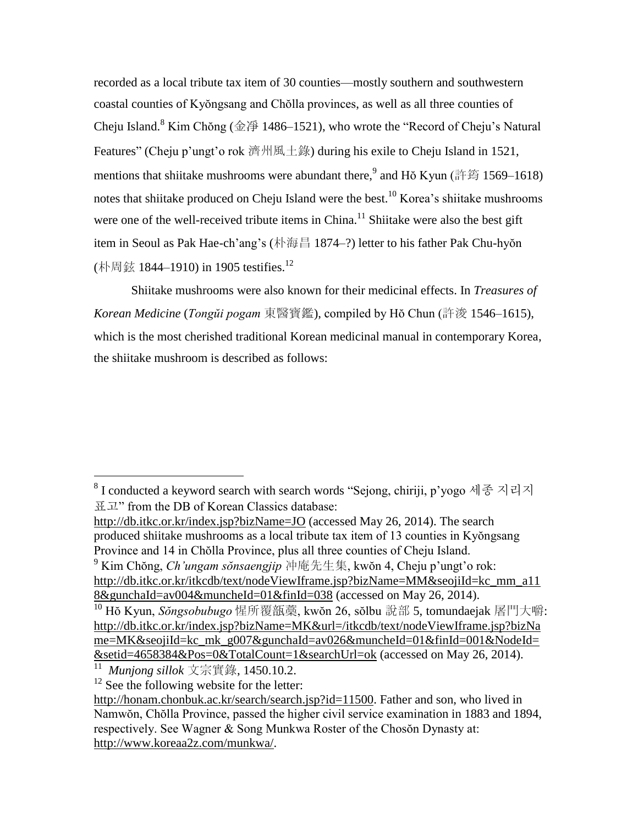recorded as a local tribute tax item of 30 counties—mostly southern and southwestern coastal counties of Kyŏngsang and Chŏlla provinces, as well as all three counties of Cheju Island.<sup>8</sup> Kim Chŏng (金淨 1486–1521), who wrote the "Record of Cheju's Natural Features" (Cheju p'ungt'o rok 濟州風土錄) during his exile to Cheju Island in 1521, mentions that shiitake mushrooms were abundant there,  $\frac{9}{3}$  and Hŏ Kyun (許筠 1569–1618) notes that shiitake produced on Cheju Island were the best.<sup>10</sup> Korea's shiitake mushrooms were one of the well-received tribute items in China.<sup>11</sup> Shiitake were also the best gift item in Seoul as Pak Hae-ch'ang's (朴海昌 1874–?) letter to his father Pak Chu-hyŏn (朴周鉉 1844–1910) in 1905 testifies.<sup>12</sup>

Shiitake mushrooms were also known for their medicinal effects. In *Treasures of Korean Medicine* (*Tongŭi pogam* 東醫寶鑑), compiled by Hŏ Chun (許浚 1546–1615), which is the most cherished traditional Korean medicinal manual in contemporary Korea, the shiitake mushroom is described as follows:

<sup>9</sup> Kim Chŏng, *Ch'ungam sŏnsaengjip* 冲庵先生集, kwŏn 4, Cheju p'ungt'o rok: [http://db.itkc.or.kr/itkcdb/text/nodeViewIframe.jsp?bizName=MM&seojiId=kc\\_mm\\_a11](http://db.itkc.or.kr/itkcdb/text/nodeViewIframe.jsp?bizName=MM&seojiId=kc_mm_a118&gunchaId=av004&muncheId=01&finId=038) [8&gunchaId=av004&muncheId=01&finId=038](http://db.itkc.or.kr/itkcdb/text/nodeViewIframe.jsp?bizName=MM&seojiId=kc_mm_a118&gunchaId=av004&muncheId=01&finId=038) (accessed on May 26, 2014).

 $8$  I conducted a keyword search with search words "Sejong, chiriji, p'yogo 세종 지리지 표고" from the DB of Korean Classics database:

<http://db.itkc.or.kr/index.jsp?bizName=JO> (accessed May 26, 2014). The search produced shiitake mushrooms as a local tribute tax item of 13 counties in Kyŏngsang Province and 14 in Chŏlla Province, plus all three counties of Cheju Island.

<sup>10</sup> Hŏ Kyun, *Sŏngsobubugo* 惺所覆瓿藁, kwŏn 26, sŏlbu 說部 5, tomundaejak 屠門大嚼: [http://db.itkc.or.kr/index.jsp?bizName=MK&url=/itkcdb/text/nodeViewIframe.jsp?bizNa](http://db.itkc.or.kr/index.jsp?bizName=MK&url=/itkcdb/text/nodeViewIframe.jsp?bizName=MK&seojiId=kc_mk_g007&gunchaId=av026&muncheId=01&finId=001&NodeId=&setid=4658384&Pos=0&TotalCount=1&searchUrl=ok) [me=MK&seojiId=kc\\_mk\\_g007&gunchaId=av026&muncheId=01&finId=001&NodeId=](http://db.itkc.or.kr/index.jsp?bizName=MK&url=/itkcdb/text/nodeViewIframe.jsp?bizName=MK&seojiId=kc_mk_g007&gunchaId=av026&muncheId=01&finId=001&NodeId=&setid=4658384&Pos=0&TotalCount=1&searchUrl=ok) [&setid=4658384&Pos=0&TotalCount=1&searchUrl=ok](http://db.itkc.or.kr/index.jsp?bizName=MK&url=/itkcdb/text/nodeViewIframe.jsp?bizName=MK&seojiId=kc_mk_g007&gunchaId=av026&muncheId=01&finId=001&NodeId=&setid=4658384&Pos=0&TotalCount=1&searchUrl=ok) (accessed on May 26, 2014).

<sup>11</sup> *Munjong sillok* 文宗實錄, 1450.10.2.

 $12$  See the following website for the letter:

[http://honam.chonbuk.ac.kr/search/search.jsp?id=11500.](http://honam.chonbuk.ac.kr/search/search.jsp?id=11500) Father and son, who lived in Namwŏn, Chŏlla Province, passed the higher civil service examination in 1883 and 1894, respectively. See Wagner & Song Munkwa Roster of the Chosŏn Dynasty at: [http://www.koreaa2z.com/munkwa/.](http://www.koreaa2z.com/munkwa/)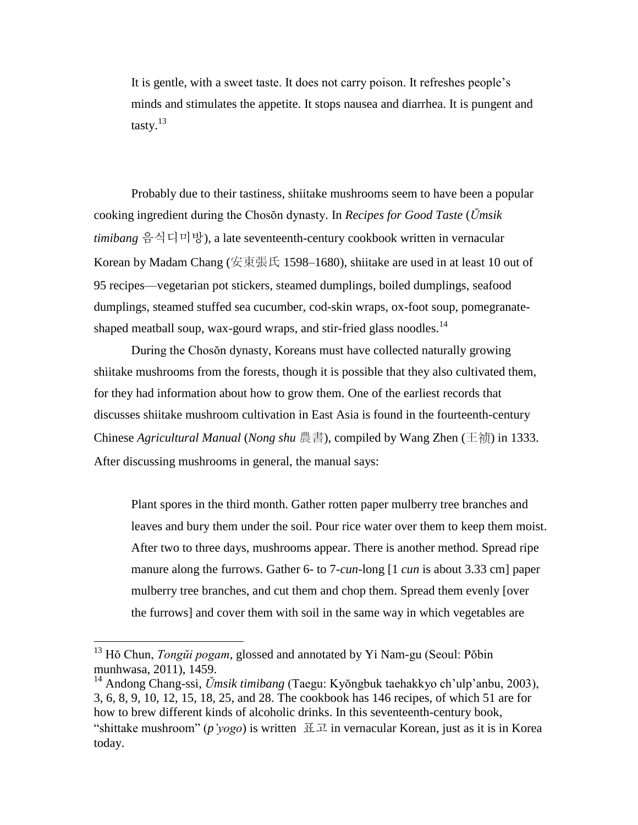It is gentle, with a sweet taste. It does not carry poison. It refreshes people's minds and stimulates the appetite. It stops nausea and diarrhea. It is pungent and tasty.<sup>13</sup>

Probably due to their tastiness, shiitake mushrooms seem to have been a popular cooking ingredient during the Chosŏn dynasty. In *Recipes for Good Taste* (*Ŭmsik timibang* 음식디미방), a late seventeenth-century cookbook written in vernacular Korean by Madam Chang (安東張氏 1598–1680), shiitake are used in at least 10 out of 95 recipes—vegetarian pot stickers, steamed dumplings, boiled dumplings, seafood dumplings, steamed stuffed sea cucumber, cod-skin wraps, ox-foot soup, pomegranateshaped meatball soup, wax-gourd wraps, and stir-fried glass noodles.<sup>14</sup>

During the Chosŏn dynasty, Koreans must have collected naturally growing shiitake mushrooms from the forests, though it is possible that they also cultivated them, for they had information about how to grow them. One of the earliest records that discusses shiitake mushroom cultivation in East Asia is found in the fourteenth-century Chinese *Agricultural Manual* (*Nong shu* 農書), compiled by Wang Zhen ([王](http://search.dangdang.com/?key2=%CD%F5%EC%F5&medium=01&category_path=01.00.00.00.00.00)祯) in 1333. After discussing mushrooms in general, the manual says:

Plant spores in the third month. Gather rotten paper mulberry tree branches and leaves and bury them under the soil. Pour rice water over them to keep them moist. After two to three days, mushrooms appear. There is another method. Spread ripe manure along the furrows. Gather 6- to 7-*cun*-long [1 *cun* is about 3.33 cm] paper mulberry tree branches, and cut them and chop them. Spread them evenly [over the furrows] and cover them with soil in the same way in which vegetables are

<sup>13</sup> Hŏ Chun, *Tongŭi pogam*, glossed and annotated by Yi Nam-gu (Seoul: Pŏbin munhwasa, 2011), 1459.

<sup>14</sup> Andong Chang-ssi, *Ŭmsik timibang* (Taegu: Kyŏngbuk taehakkyo ch'ulp'anbu, 2003), 3, 6, 8, 9, 10, 12, 15, 18, 25, and 28. The cookbook has 146 recipes, of which 51 are for how to brew different kinds of alcoholic drinks. In this seventeenth-century book, "shittake mushroom" (*p'yogo*) is written  $\mathbb{H} \mathbb{Z}$  in vernacular Korean, just as it is in Korea today.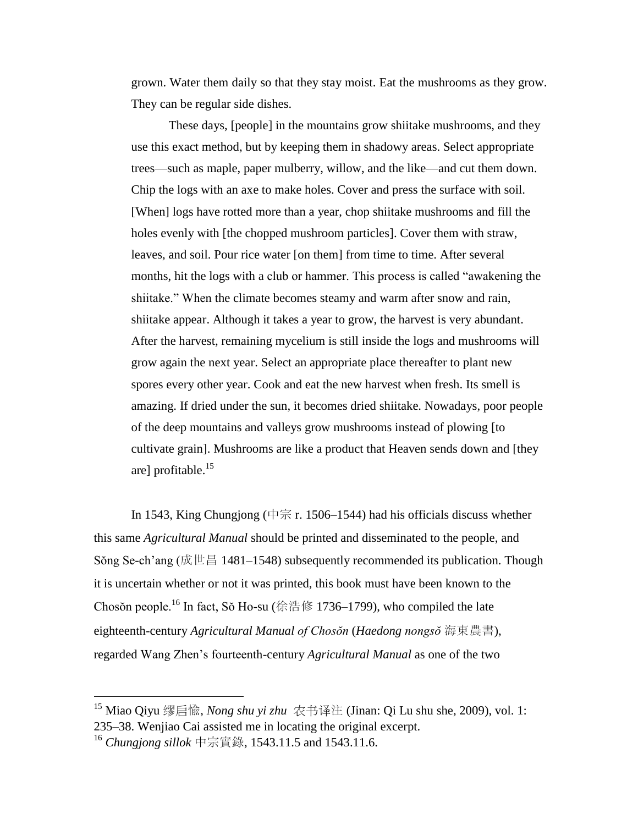grown. Water them daily so that they stay moist. Eat the mushrooms as they grow. They can be regular side dishes.

These days, [people] in the mountains grow shiitake mushrooms, and they use this exact method, but by keeping them in shadowy areas. Select appropriate trees—such as maple, paper mulberry, willow, and the like—and cut them down. Chip the logs with an axe to make holes. Cover and press the surface with soil. [When] logs have rotted more than a year, chop shiitake mushrooms and fill the holes evenly with [the chopped mushroom particles]. Cover them with straw, leaves, and soil. Pour rice water [on them] from time to time. After several months, hit the logs with a club or hammer. This process is called "awakening the shiitake." When the climate becomes steamy and warm after snow and rain, shiitake appear. Although it takes a year to grow, the harvest is very abundant. After the harvest, remaining mycelium is still inside the logs and mushrooms will grow again the next year. Select an appropriate place thereafter to plant new spores every other year. Cook and eat the new harvest when fresh. Its smell is amazing. If dried under the sun, it becomes dried shiitake. Nowadays, poor people of the deep mountains and valleys grow mushrooms instead of plowing [to cultivate grain]. Mushrooms are like a product that Heaven sends down and [they are] profitable.<sup>15</sup>

In 1543, King Chungjong (中宗 r. 1506–1544) had his officials discuss whether this same *Agricultural Manual* should be printed and disseminated to the people, and Sŏng Se-ch'ang (成世昌 1481–1548) subsequently recommended its publication. Though it is uncertain whether or not it was printed, this book must have been known to the Chosŏn people.<sup>16</sup> In fact, Sŏ Ho-su (徐浩修 1736–1799), who compiled the late eighteenth-century *Agricultural Manual of Chosŏn* (*Haedong nongsŏ* 海東農書), regarded Wang Zhen's fourteenth-century *Agricultural Manual* as one of the two

<sup>15</sup> Miao Qiyu 缪启[愉](javascript:open_window(%22http://lms01.harvard.edu:80/F/9NHD31EIB7G654VRVQCQH4J8HXR5Y89A3NTL7999BBS1V7TG17-03485?func=service&doc_number=012189939&line_number=0012&service_type=TAG%22);), *Nong shu yi zhu* [农书译](javascript:open_window(%22http://lms01.harvard.edu:80/F/9NHD31EIB7G654VRVQCQH4J8HXR5Y89A3NTL7999BBS1V7TG17-03487?func=service&doc_number=012189939&line_number=0014&service_type=TAG%22);)注 (Jinan: Qi Lu shu she, 2009), vol. 1: 235–38. Wenjiao Cai assisted me in locating the original excerpt.

<sup>16</sup> *Chungjong sillok* 中宗實錄, 1543.11.5 and 1543.11.6.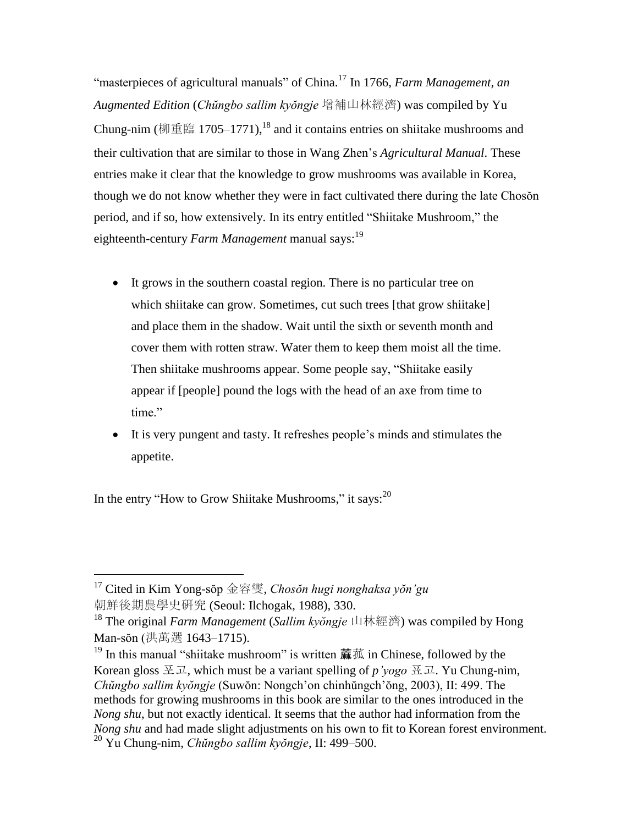"masterpieces of agricultural manuals" of China.<sup>17</sup> In 1766, *Farm Management, an Augmented Edition* (*Chŭngbo sallim kyŏngje* 增補山林經濟) was compiled by Yu Chung-nim (柳重臨 1705–1771),<sup>18</sup> and it contains entries on shiitake mushrooms and their cultivation that are similar to those in Wang Zhen's *Agricultural Manual*. These entries make it clear that the knowledge to grow mushrooms was available in Korea, though we do not know whether they were in fact cultivated there during the late Chosŏn period, and if so, how extensively. In its entry entitled "Shiitake Mushroom," the eighteenth-century *Farm Management* manual says:<sup>19</sup>

- It grows in the southern coastal region. There is no particular tree on which shiitake can grow. Sometimes, cut such trees [that grow shiitake] and place them in the shadow. Wait until the sixth or seventh month and cover them with rotten straw. Water them to keep them moist all the time. Then shiitake mushrooms appear. Some people say, "Shiitake easily appear if [people] pound the logs with the head of an axe from time to time."
- It is very pungent and tasty. It refreshes people's minds and stimulates the appetite.

In the entry "How to Grow Shiitake Mushrooms," it says:  $20$ 

<sup>17</sup> Cited in Kim Yong-sŏp 金容燮, *Chosŏn hugi nonghaksa yŏn'gu*  朝鮮後期農學史硏究 (Seoul: Ilchogak, 1988), 330.

<sup>18</sup> The original *Farm Management* (*Sallim kyŏngje* 山林經濟) was compiled by Hong Man-sŏn (洪萬選 1643–1715).

 $19$  In this manual "shiitake mushroom" is written [蔴](http://hanja.naver.com/search?query=%E8%98%91)[菰](http://hanja.naver.com/search?query=%E8%98%91) in Chinese, followed by the Korean gloss 포고, which must be a variant spelling of *p'yogo* 표고. Yu Chung-nim, *Chŭngbo sallim kyŏngje* (Suwŏn: Nongch'on chinhŭngch'ŏng, 2003), II: 499. The methods for growing mushrooms in this book are similar to the ones introduced in the *Nong shu*, but not exactly identical. It seems that the author had information from the *Nong shu* and had made slight adjustments on his own to fit to Korean forest environment. <sup>20</sup> Yu Chung-nim, *Chŭngbo sallim kyŏngje*, II: 499–500.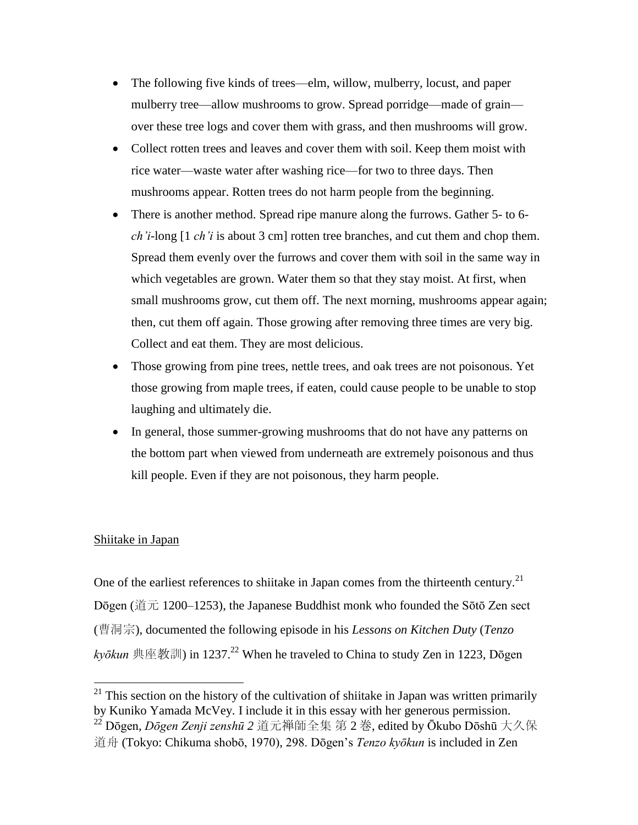- The following five kinds of trees—elm, willow, mulberry, locust, and paper mulberry tree—allow mushrooms to grow. Spread porridge—made of grain over these tree logs and cover them with grass, and then mushrooms will grow.
- Collect rotten trees and leaves and cover them with soil. Keep them moist with rice water—waste water after washing rice—for two to three days. Then mushrooms appear. Rotten trees do not harm people from the beginning.
- There is another method. Spread ripe manure along the furrows. Gather 5- to 6*ch'i*-long [1 *ch'i* is about 3 cm] rotten tree branches, and cut them and chop them. Spread them evenly over the furrows and cover them with soil in the same way in which vegetables are grown. Water them so that they stay moist. At first, when small mushrooms grow, cut them off. The next morning, mushrooms appear again; then, cut them off again. Those growing after removing three times are very big. Collect and eat them. They are most delicious.
- Those growing from pine trees, nettle trees, and oak trees are not poisonous. Yet those growing from maple trees, if eaten, could cause people to be unable to stop laughing and ultimately die.
- In general, those summer-growing mushrooms that do not have any patterns on the bottom part when viewed from underneath are extremely poisonous and thus kill people. Even if they are not poisonous, they harm people.

## Shiitake in Japan

 $\overline{a}$ 

One of the earliest references to shiitake in Japan comes from the thirteenth century.<sup>21</sup> Dōgen (道元 1200–1253), the Japanese Buddhist monk who founded the Sōtō Zen sect (曹洞宗), documented the following episode in his *Lessons on Kitchen Duty* (*Tenzo*   $k$ *yōkun* 典座教訓) in 1237.<sup>22</sup> When he traveled to China to study Zen in 1223, Dōgen

 $21$  This section on the history of the cultivation of shiitake in Japan was written primarily by Kuniko Yamada McVey. I include it in this essay with her generous permission. <sup>22</sup> Dōgen, *Dōgen Zenji zenshū 2* 道元禅師全集 第 2 巻, edited by Ōkubo Dōshū 大久保 道舟 (Tokyo: Chikuma shobō, 1970), 298. Dōgen's *Tenzo kyōkun* is included in Zen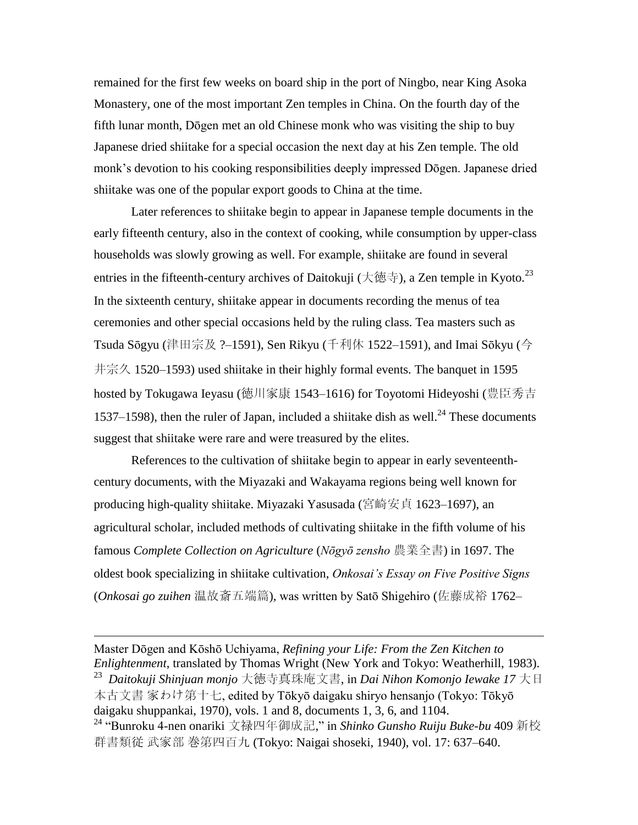remained for the first few weeks on board ship in the port of Ningbo, near King Asoka Monastery, one of the most important Zen temples in China. On the fourth day of the fifth lunar month, Dōgen met an old Chinese monk who was visiting the ship to buy Japanese dried shiitake for a special occasion the next day at his Zen temple. The old monk's devotion to his cooking responsibilities deeply impressed Dōgen. Japanese dried shiitake was one of the popular export goods to China at the time.

Later references to shiitake begin to appear in Japanese temple documents in the early fifteenth century, also in the context of cooking, while consumption by upper-class households was slowly growing as well. For example, shiitake are found in several entries in the fifteenth-century archives of Daitokuji (大徳寺), a Zen temple in Kyoto.<sup>23</sup> In the sixteenth century, shiitake appear in documents recording the menus of tea ceremonies and other special occasions held by the ruling class. Tea masters such as Tsuda Sōgyu (津田宗及 ?–1591), Sen Rikyu (千利休 1522–1591), and Imai Sōkyu (今 井宗久 1520–1593) used shiitake in their highly formal events. The banquet in 1595 hosted by Tokugawa Ieyasu (徳川家康 1543–1616) for Toyotomi Hideyoshi (豊臣秀吉 1537–1598), then the ruler of Japan, included a shiitake dish as well.<sup>24</sup> These documents suggest that shiitake were rare and were treasured by the elites.

References to the cultivation of shiitake begin to appear in early seventeenthcentury documents, with the Miyazaki and Wakayama regions being well known for producing high-quality shiitake. Miyazaki Yasusada (宮崎安貞 1623–1697), an agricultural scholar, included methods of cultivating shiitake in the fifth volume of his famous *Complete Collection on Agriculture* (*Nōgyō zensho* 農業全書) in 1697. The oldest book specializing in shiitake cultivation, *Onkosai's Essay on Five Positive Signs* (*Onkosai go zuihen* 温故斎五端篇), was written by Satō Shigehiro (佐藤成裕 1762–

Master Dōgen and Kōshō Uchiyama, *Refining your Life: From the Zen Kitchen to Enlightenment*, translated by Thomas Wright (New York and Tokyo: Weatherhill, 1983). 23 *Daitokuji Shinjuan monjo* 大徳寺真珠庵文書, in *Dai Nihon Komonjo Iewake 17* 大日 本古文書 家わけ第十七, edited by Tōkyō daigaku shiryo hensanjo (Tokyo: Tōkyō daigaku shuppankai, 1970), vols. 1 and 8, documents 1, 3, 6, and 1104. <sup>24</sup> "Bunroku 4-nen onariki 文禄四年御成記," in *Shinko Gunsho Ruiju Buke-bu* 409 新校

 $\overline{a}$ 

群書類従 武家部 巻第四百九 (Tokyo: Naigai shoseki, 1940), vol. 17: 637–640.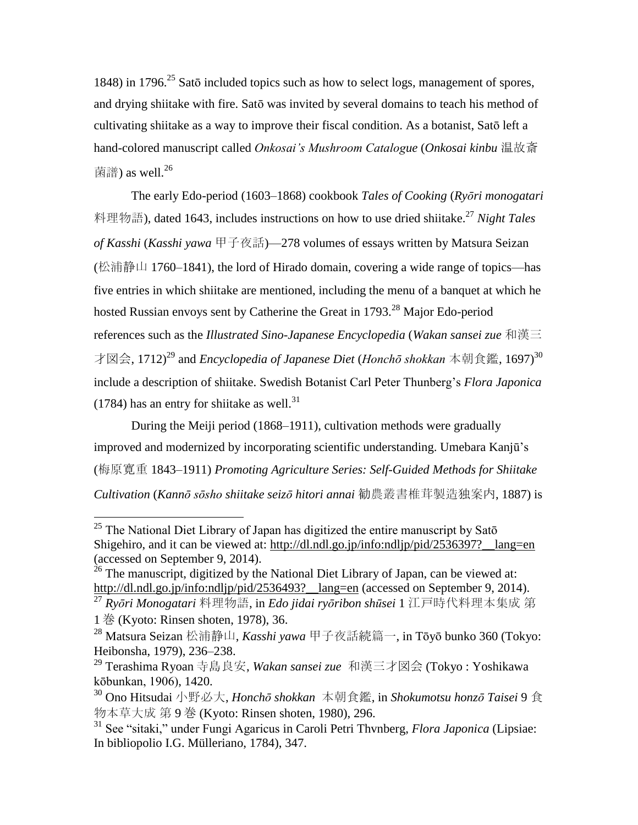1848) in 1796.<sup>25</sup> Satō included topics such as how to select logs, management of spores, and drying shiitake with fire. Satō was invited by several domains to teach his method of cultivating shiitake as a way to improve their fiscal condition. As a botanist, Satō left a hand-colored manuscript called *Onkosai's Mushroom Catalogue* (*Onkosai kinbu* 温故斎 菌譜) as well. $^{26}$ 

The early Edo-period (1603–1868) cookbook *Tales of Cooking* (*Ryōri monogatari* 料理物語), dated 1643, includes instructions on how to use dried shiitake.<sup>27</sup> *Night Tales of Kasshi* (*Kasshi yawa* 甲子夜話)—278 volumes of essays written by Matsura Seizan (松浦静山 1760–1841), the lord of Hirado domain, covering a wide range of topics—has five entries in which shiitake are mentioned, including the menu of a banquet at which he hosted Russian envoys sent by Catherine the Great in 1793.<sup>28</sup> Major Edo-period references such as the *Illustrated Sino-Japanese Encyclopedia* (*Wakan sansei zue* 和漢三 才図会, 1712)<sup>29</sup> and *Encyclopedia of Japanese Diet* (*Honchō shokkan* 本朝食鑑, 1697)<sup>30</sup> include a description of shiitake. Swedish Botanist Carl Peter Thunberg's *Flora Japonica*  $(1784)$  has an entry for shiitake as well.<sup>31</sup>

During the Meiji period (1868–1911), cultivation methods were gradually improved and modernized by incorporating scientific understanding. Umebara Kanjū's (梅原寛重 1843–1911) *Promoting Agriculture Series: Self-Guided Methods for Shiitake Cultivation* (*Kannō sōsho shiitake seizō hitori annai* 勧農叢書椎茸製造独案内, 1887) is

 $25$  The National Diet Library of Japan has digitized the entire manuscript by Satō Shigehiro, and it can be viewed at: http://dl.ndl.go.jp/info:ndljp/pid/2536397?\_lang=en (accessed on September 9, 2014).

 $^{26}$  The manuscript, digitized by the National Diet Library of Japan, can be viewed at: http://dl.ndl.go.jp/info:ndljp/pid/2536493?\_lang=en (accessed on September 9, 2014).

<sup>27</sup> *Ryōri Monogatari* 料理物語, in *Edo jidai ryōribon shūsei* 1 江戸時代料理本集成 第 1 巻 (Kyoto: Rinsen shoten, 1978), 36.

<sup>28</sup> Matsura Seizan 松浦静山, *Kasshi yawa* 甲子夜話続篇一, in Tōyō bunko 360 (Tokyo: Heibonsha, 1979), 236–238.

<sup>29</sup> Terashima Ryoan 寺島良安, *Wakan sansei zue* 和漢三才図会 (Tokyo : Yoshikawa kōbunkan, 1906), 1420.

<sup>30</sup> Ono Hitsudai 小野必大, *Honchō shokkan* 本朝食鑑, in *Shokumotsu honzō Taisei* 9 食 物本草大成 第 9 巻 (Kyoto: Rinsen shoten, 1980), 296.

<sup>31</sup> See "sitaki," under Fungi Agaricus in Caroli Petri Thvnberg, *Flora Japonica* (Lipsiae: In bibliopolio I.G. Mülleriano, 1784), 347.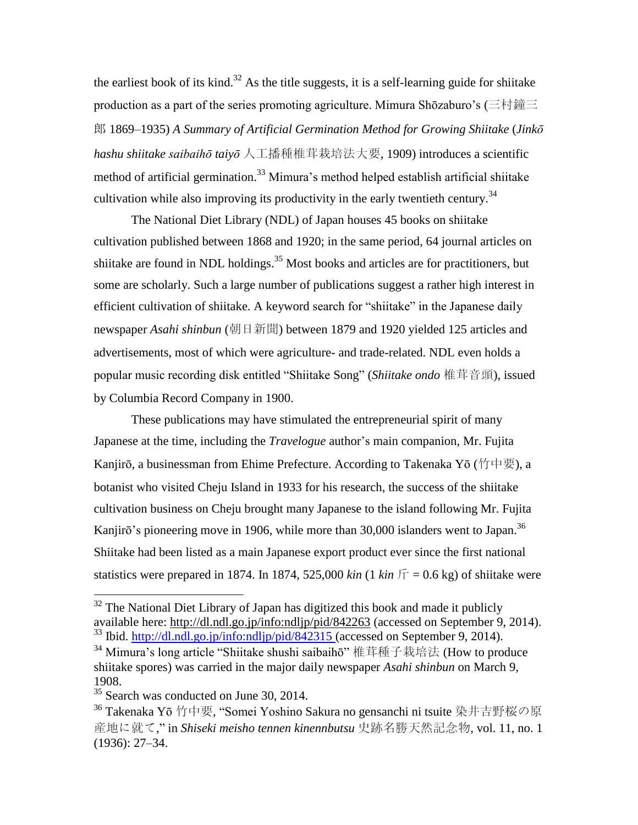the earliest book of its kind.<sup>32</sup> As the title suggests, it is a self-learning guide for shiitake production as a part of the series promoting agriculture. Mimura Shōzaburo's (三村鐘三 郎 1869–1935) *A Summary of Artificial Germination Method for Growing Shiitake* (*Jinkō hashu shiitake saibaihō taiyō* 人工播種椎茸栽培法大要, 1909) introduces a scientific method of artificial germination.<sup>33</sup> Mimura's method helped establish artificial shiitake cultivation while also improving its productivity in the early twentieth century.<sup>34</sup>

The National Diet Library (NDL) of Japan houses 45 books on shiitake cultivation published between 1868 and 1920; in the same period, 64 journal articles on shiitake are found in NDL holdings.<sup>35</sup> Most books and articles are for practitioners, but some are scholarly. Such a large number of publications suggest a rather high interest in efficient cultivation of shiitake. A keyword search for "shiitake" in the Japanese daily newspaper *Asahi shinbun* (朝日新聞) between 1879 and 1920 yielded 125 articles and advertisements, most of which were agriculture- and trade-related. NDL even holds a popular music recording disk entitled "Shiitake Song" (*Shiitake ondo* 椎茸音頭), issued by Columbia Record Company in 1900.

These publications may have stimulated the entrepreneurial spirit of many Japanese at the time, including the *Travelogue* author's main companion, Mr. Fujita Kanjirō, a businessman from Ehime Prefecture. According to Takenaka Yō (竹中要), a botanist who visited Cheju Island in 1933 for his research, the success of the shiitake cultivation business on Cheju brought many Japanese to the island following Mr. Fujita Kanjirō's pioneering move in 1906, while more than 30,000 islanders went to Japan.<sup>36</sup> Shiitake had been listed as a main Japanese export product ever since the first national statistics were prepared in 1874. In 1874, 525,000 *kin* (1 *kin*  $\overline{r} = 0.6$  kg) of shiitake were

 $32$  The National Diet Library of Japan has digitized this book and made it publicly available here:<http://dl.ndl.go.jp/info:ndljp/pid/842263> (accessed on September 9, 2014). <sup>33</sup> Ibid.<http://dl.ndl.go.jp/info:ndljp/pid/842315> (accessed on September 9, 2014).

 $34$  Mimura's long article "Shiitake shushi saibaihō" 椎茸種子栽培法 (How to produce shiitake spores) was carried in the major daily newspaper *Asahi shinbun* on March 9, 1908.

<sup>&</sup>lt;sup>35</sup> Search was conducted on June 30, 2014.

<sup>36</sup> Takenaka Yō 竹中要, "Somei Yoshino Sakura no gensanchi ni tsuite 染井吉野桜の原 産地に就て," in *Shiseki meisho tennen kinennbutsu* 史跡名勝天然記念物, vol. 11, no. 1 (1936): 27–34.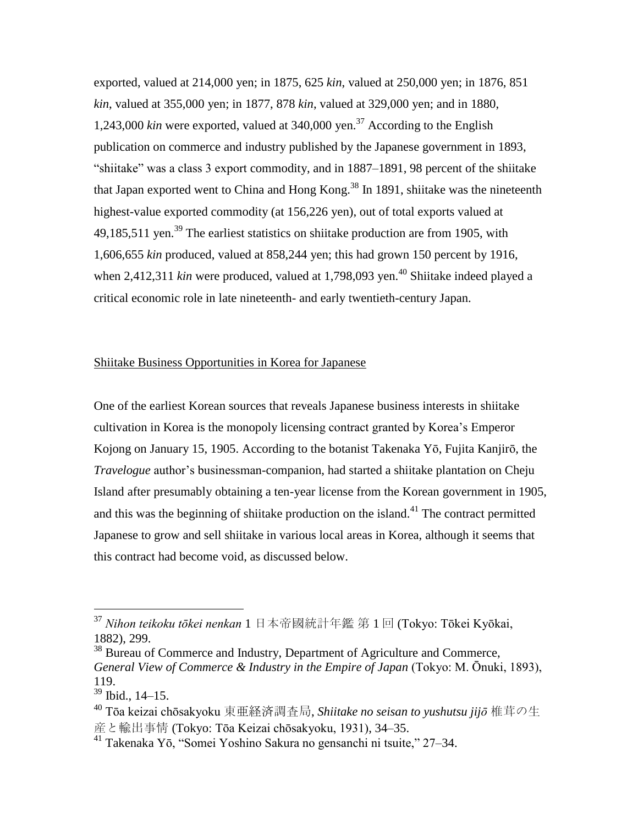exported, valued at 214,000 yen; in 1875, 625 *kin*, valued at 250,000 yen; in 1876, 851 *kin*, valued at 355,000 yen; in 1877, 878 *kin*, valued at 329,000 yen; and in 1880, 1,243,000 *kin* were exported, valued at 340,000 yen.<sup>37</sup> According to the English publication on commerce and industry published by the Japanese government in 1893, "shiitake" was a class 3 export commodity, and in 1887–1891, 98 percent of the shiitake that Japan exported went to China and Hong Kong.<sup>38</sup> In 1891, shiitake was the nineteenth highest-value exported commodity (at 156,226 yen), out of total exports valued at 49,185,511 yen.<sup>39</sup> The earliest statistics on shiitake production are from 1905, with 1,606,655 *kin* produced, valued at 858,244 yen; this had grown 150 percent by 1916, when 2,412,311 *kin* were produced, valued at 1,798,093 yen.<sup>40</sup> Shiitake indeed played a critical economic role in late nineteenth- and early twentieth-century Japan.

## Shiitake Business Opportunities in Korea for Japanese

One of the earliest Korean sources that reveals Japanese business interests in shiitake cultivation in Korea is the monopoly licensing contract granted by Korea's Emperor Kojong on January 15, 1905. According to the botanist Takenaka Yō, Fujita Kanjirō, the *Travelogue* author's businessman-companion, had started a shiitake plantation on Cheju Island after presumably obtaining a ten-year license from the Korean government in 1905, and this was the beginning of shiitake production on the island.<sup>41</sup> The contract permitted Japanese to grow and sell shiitake in various local areas in Korea, although it seems that this contract had become void, as discussed below.

<sup>37</sup> *Nihon teikoku tōkei nenkan* 1 日本帝國統計年鑑 第 1 回 (Tokyo: Tōkei Kyōkai, 1882), 299.

<sup>&</sup>lt;sup>38</sup> Bureau of Commerce and Industry, Department of Agriculture and Commerce, *General View of Commerce & Industry in the Empire of Japan* (Tokyo: M. Ōnuki, 1893), 119.

<sup>39</sup> Ibid., 14–15.

<sup>40</sup> Tōa keizai chōsakyoku 東亜経済調査局, *Shiitake no seisan to yushutsu jijō* 椎茸の生 産と輸出事情 (Tokyo: Tōa Keizai chōsakyoku, 1931), 34–35.

<sup>41</sup> Takenaka Yō, "Somei Yoshino Sakura no gensanchi ni tsuite," 27–34.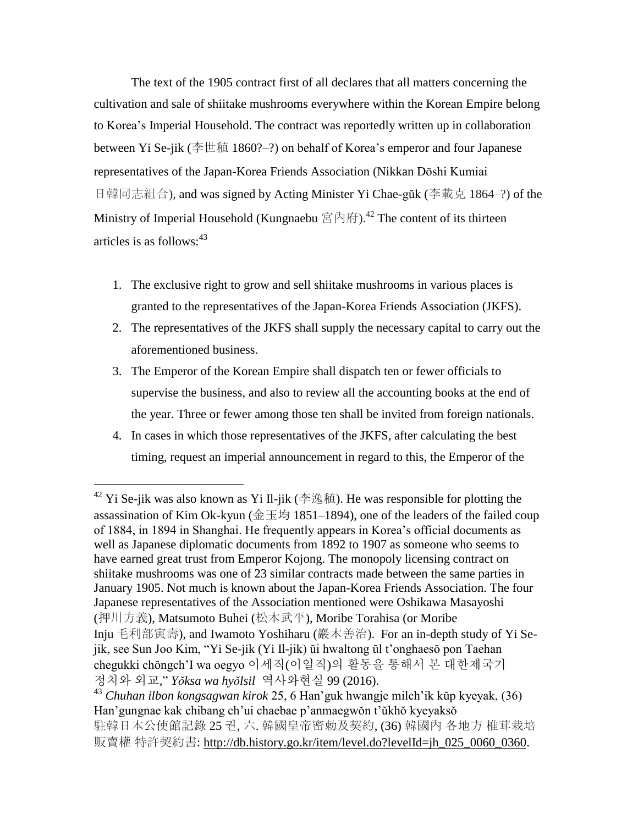The text of the 1905 contract first of all declares that all matters concerning the cultivation and sale of shiitake mushrooms everywhere within the Korean Empire belong to Korea's Imperial Household. The contract was reportedly written up in collaboration between Yi Se-jik (李世稙 1860?–?) on behalf of Korea's emperor and four Japanese representatives of the Japan-Korea Friends Association (Nikkan Dōshi Kumiai 日韓同志組合), and was signed by Acting Minister Yi Chae-gŭk (李載克 1864–?) of the Ministry of Imperial Household (Kungnaebu 宮內府).<sup>42</sup> The content of its thirteen articles is as follows: 43

- 1. The exclusive right to grow and sell shiitake mushrooms in various places is granted to the representatives of the Japan-Korea Friends Association (JKFS).
- 2. The representatives of the JKFS shall supply the necessary capital to carry out the aforementioned business.
- 3. The Emperor of the Korean Empire shall dispatch ten or fewer officials to supervise the business, and also to review all the accounting books at the end of the year. Three or fewer among those ten shall be invited from foreign nationals.
- 4. In cases in which those representatives of the JKFS, after calculating the best timing, request an imperial announcement in regard to this, the Emperor of the

<sup>&</sup>lt;sup>42</sup> Yi Se-jik was also known as Yi Il-jik (李逸稙). He was responsible for plotting the assassination of Kim Ok-kyun (金玉均 1851–1894), one of the leaders of the failed coup of 1884, in 1894 in Shanghai. He frequently appears in Korea's official documents as well as Japanese diplomatic documents from 1892 to 1907 as someone who seems to have earned great trust from Emperor Kojong. The monopoly licensing contract on shiitake mushrooms was one of 23 similar contracts made between the same parties in January 1905. Not much is known about the Japan-Korea Friends Association. The four Japanese representatives of the Association mentioned were Oshikawa Masayoshi (押川方義), Matsumoto Buhei (松本武平), Moribe Torahisa (or Moribe Inju 毛利部寅壽), and Iwamoto Yoshiharu (巖本善治). For an in-depth study of Yi Sejik, see Sun Joo Kim, "Yi Se-jik (Yi Il-jik) ŭi hwaltong ŭl t'onghaesŏ pon Taehan chegukki chŏngch'I wa oegyo 이세직(이일직)의 활동을 통해서 본 대한제국기 정치와 외교," *Yŏksa wa hyŏlsil* 역사와현실 99 (2016).

<sup>43</sup> *Chuhan ilbon kongsagwan kirok* 25, 6 Han'guk hwangje milch'ik kŭp kyeyak, (36) Han'gungnae kak chibang ch'ui chaebae p'anmaegwŏn t'ŭkhŏ kyeyaksŏ 駐韓日本公使館記錄 25 권, 六. 韓國皇帝密勅及契約, (36) 韓國內 各地方 椎茸栽培 販賣權特許契約書: [http://db.history.go.kr/item/level.do?levelId=jh\\_025\\_0060\\_0360.](http://db.history.go.kr/item/level.do?levelId=jh_025_0060_0360)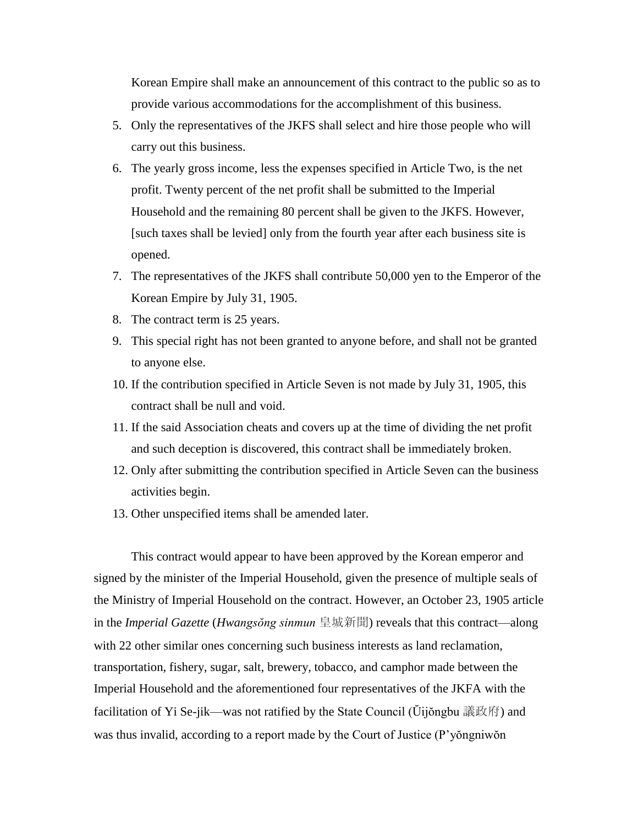Korean Empire shall make an announcement of this contract to the public so as to provide various accommodations for the accomplishment of this business.

- 5. Only the representatives of the JKFS shall select and hire those people who will carry out this business.
- 6. The yearly gross income, less the expenses specified in Article Two, is the net profit. Twenty percent of the net profit shall be submitted to the Imperial Household and the remaining 80 percent shall be given to the JKFS. However, [such taxes shall be levied] only from the fourth year after each business site is opened.
- 7. The representatives of the JKFS shall contribute 50,000 yen to the Emperor of the Korean Empire by July 31, 1905.
- 8. The contract term is 25 years.
- 9. This special right has not been granted to anyone before, and shall not be granted to anyone else.
- 10. If the contribution specified in Article Seven is not made by July 31, 1905, this contract shall be null and void.
- 11. If the said Association cheats and covers up at the time of dividing the net profit and such deception is discovered, this contract shall be immediately broken.
- 12. Only after submitting the contribution specified in Article Seven can the business activities begin.
- 13. Other unspecified items shall be amended later.

This contract would appear to have been approved by the Korean emperor and signed by the minister of the Imperial Household, given the presence of multiple seals of the Ministry of Imperial Household on the contract. However, an October 23, 1905 article in the *Imperial Gazette* (*Hwangsŏng sinmun* 皇城新聞) reveals that this contract—along with 22 other similar ones concerning such business interests as land reclamation, transportation, fishery, sugar, salt, brewery, tobacco, and camphor made between the Imperial Household and the aforementioned four representatives of the JKFA with the facilitation of Yi Se-jik—was not ratified by the State Council (Ŭijŏngbu 議政府) and was thus invalid, according to a report made by the Court of Justice (P'yŏngniwŏn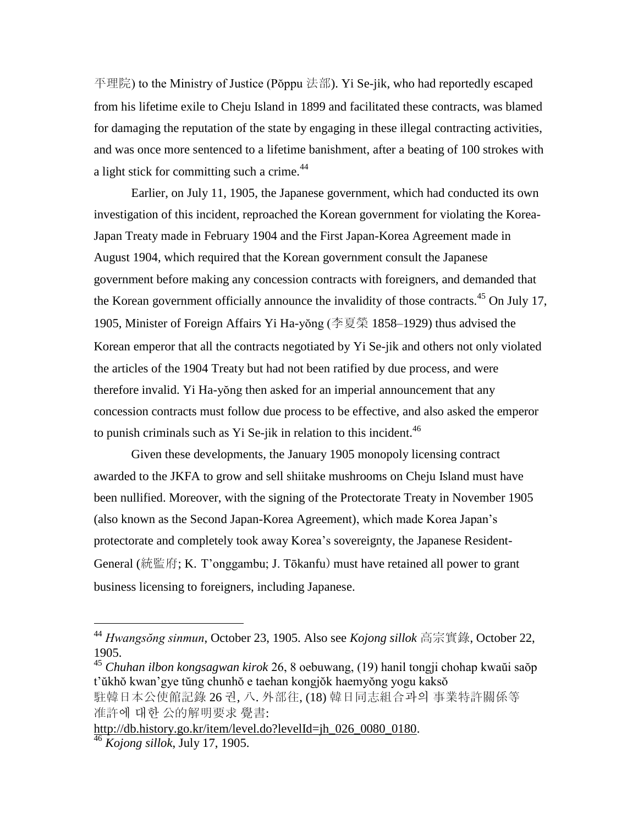平理院) to the Ministry of Justice (Pŏppu 法部). Yi Se-jik, who had reportedly escaped from his lifetime exile to Cheju Island in 1899 and facilitated these contracts, was blamed for damaging the reputation of the state by engaging in these illegal contracting activities, and was once more sentenced to a lifetime banishment, after a beating of 100 strokes with a light stick for committing such a crime.<sup>44</sup>

Earlier, on July 11, 1905, the Japanese government, which had conducted its own investigation of this incident, reproached the Korean government for violating the Korea-Japan Treaty made in February 1904 and the First Japan-Korea Agreement made in August 1904, which required that the Korean government consult the Japanese government before making any concession contracts with foreigners, and demanded that the Korean government officially announce the invalidity of those contracts.<sup>45</sup> On July 17, 1905, Minister of Foreign Affairs Yi Ha-yŏng (李夏榮 1858–1929) thus advised the Korean emperor that all the contracts negotiated by Yi Se-jik and others not only violated the articles of the 1904 Treaty but had not been ratified by due process, and were therefore invalid. Yi Ha-yŏng then asked for an imperial announcement that any concession contracts must follow due process to be effective, and also asked the emperor to punish criminals such as Yi Se-jik in relation to this incident.  $46$ 

Given these developments, the January 1905 monopoly licensing contract awarded to the JKFA to grow and sell shiitake mushrooms on Cheju Island must have been nullified. Moreover, with the signing of the Protectorate Treaty in November 1905 (also known as the Second Japan-Korea Agreement), which made Korea Japan's protectorate and completely took away Korea's sovereignty, the Japanese Resident-General (統監府; K. T'onggambu; J. Tōkanfu) must have retained all power to grant business licensing to foreigners, including Japanese.

<sup>44</sup> *Hwangsŏng sinmun*, October 23, 1905. Also see *Kojong sillok* 高宗實錄, October 22, 1905.

<sup>45</sup> *Chuhan ilbon kongsagwan kirok* 26, 8 oebuwang, (19) hanil tongji chohap kwaŭi saŏp t'ŭkhŏ kwan'gye tŭng chunhŏ e taehan kongjŏk haemyŏng yogu kaksŏ 駐韓日本公使館記錄 26 권, 八. 外部往, (18) 韓日同志組合과의 事業特許關係等 准許에 대한 公的解明要求 覺書:

[http://db.history.go.kr/item/level.do?levelId=jh\\_026\\_0080\\_0180.](http://db.history.go.kr/item/level.do?levelId=jh_026_0080_0180) <sup>46</sup> *Kojong sillok*, July 17, 1905.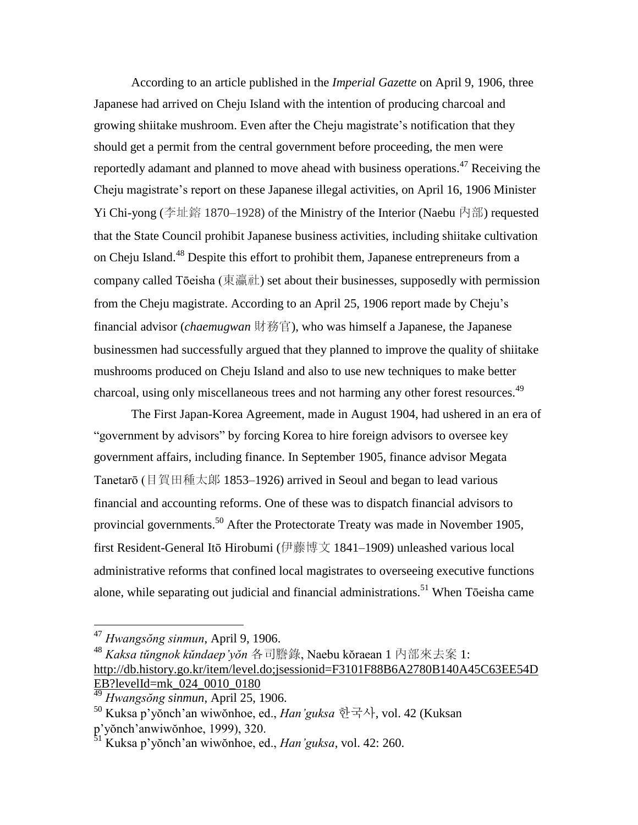According to an article published in the *Imperial Gazette* on April 9, 1906, three Japanese had arrived on Cheju Island with the intention of producing charcoal and growing shiitake mushroom. Even after the Cheju magistrate's notification that they should get a permit from the central government before proceeding, the men were reportedly adamant and planned to move ahead with business operations.<sup>47</sup> Receiving the Cheju magistrate's report on these Japanese illegal activities, on April 16, 1906 Minister Yi Chi-yong (李址鎔 1870–1928) of the Ministry of the Interior (Naebu 內部) requested that the State Council prohibit Japanese business activities, including shiitake cultivation on Cheju Island.<sup>48</sup> Despite this effort to prohibit them, Japanese entrepreneurs from a company called Tōeisha (東瀛社) set about their businesses, supposedly with permission from the Cheju magistrate. According to an April 25, 1906 report made by Cheju's financial advisor (*chaemugwan* 財務官), who was himself a Japanese, the Japanese businessmen had successfully argued that they planned to improve the quality of shiitake mushrooms produced on Cheju Island and also to use new techniques to make better charcoal, using only miscellaneous trees and not harming any other forest resources.<sup>49</sup>

The First Japan-Korea Agreement, made in August 1904, had ushered in an era of "government by advisors" by forcing Korea to hire foreign advisors to oversee key government affairs, including finance. In September 1905, finance advisor Megata Tanetarō (目賀田種太郞 1853–1926) arrived in Seoul and began to lead various financial and accounting reforms. One of these was to dispatch financial advisors to provincial governments.<sup>50</sup> After the Protectorate Treaty was made in November 1905, first Resident-General Itō Hirobumi (伊藤博文 1841–1909) unleashed various local administrative reforms that confined local magistrates to overseeing executive functions alone, while separating out judicial and financial administrations.<sup>51</sup> When Tōeisha came

<sup>47</sup> *Hwangsŏng sinmun*, April 9, 1906.

<sup>48</sup> *Kaksa tŭngnok kŭndaep'yŏn* 各司謄錄, Naebu kŏraean 1 內部來去案 1: [http://db.history.go.kr/item/level.do;jsessionid=F3101F88B6A2780B140A45C63EE54D](http://db.history.go.kr/item/level.do;jsessionid=F3101F88B6A2780B140A45C63EE54DEB?levelId=mk_024_0010_0180) [EB?levelId=mk\\_024\\_0010\\_0180](http://db.history.go.kr/item/level.do;jsessionid=F3101F88B6A2780B140A45C63EE54DEB?levelId=mk_024_0010_0180)

<sup>49</sup> *Hwangsŏng sinmun*, April 25, 1906.

<sup>50</sup> Kuksa p'yŏnch'an wiwŏnhoe, ed., *Han'guksa* 한국사, vol. 42 (Kuksan p'yŏnch'anwiwŏnhoe, 1999), 320.

<sup>51</sup> Kuksa p'yŏnch'an wiwŏnhoe, ed., *Han'guksa*, vol. 42: 260.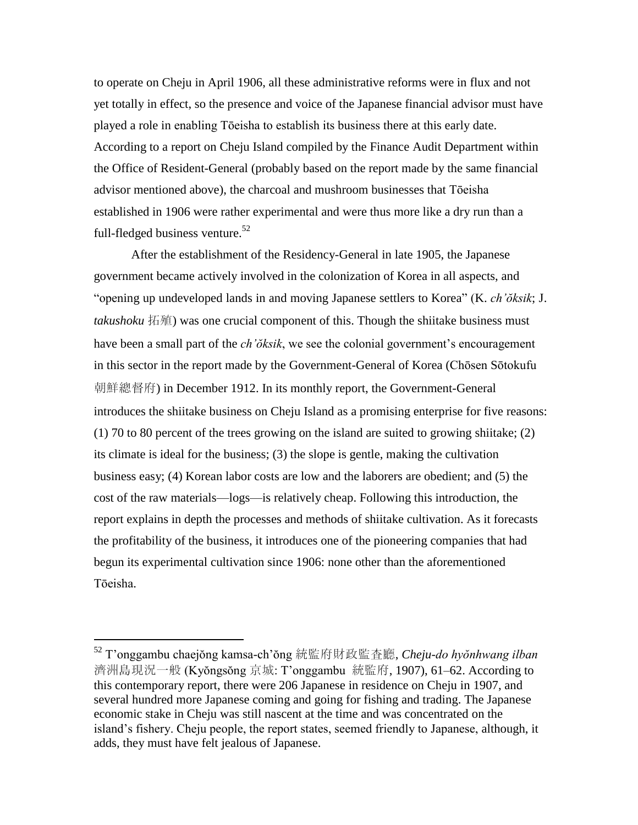to operate on Cheju in April 1906, all these administrative reforms were in flux and not yet totally in effect, so the presence and voice of the Japanese financial advisor must have played a role in enabling Tōeisha to establish its business there at this early date. According to a report on Cheju Island compiled by the Finance Audit Department within the Office of Resident-General (probably based on the report made by the same financial advisor mentioned above), the charcoal and mushroom businesses that Tōeisha established in 1906 were rather experimental and were thus more like a dry run than a full-fledged business venture.<sup>52</sup>

After the establishment of the Residency-General in late 1905, the Japanese government became actively involved in the colonization of Korea in all aspects, and "opening up undeveloped lands in and moving Japanese settlers to Korea" (K. *ch'ŏksik*; J. *takushoku* 拓殖) was one crucial component of this. Though the shiitake business must have been a small part of the *ch'ŏksik*, we see the colonial government's encouragement in this sector in the report made by the Government-General of Korea (Chōsen Sōtokufu 朝鮮總督府) in December 1912. In its monthly report, the Government-General introduces the shiitake business on Cheju Island as a promising enterprise for five reasons: (1) 70 to 80 percent of the trees growing on the island are suited to growing shiitake; (2) its climate is ideal for the business; (3) the slope is gentle, making the cultivation business easy; (4) Korean labor costs are low and the laborers are obedient; and (5) the cost of the raw materials—logs—is relatively cheap. Following this introduction, the report explains in depth the processes and methods of shiitake cultivation. As it forecasts the profitability of the business, it introduces one of the pioneering companies that had begun its experimental cultivation since 1906: none other than the aforementioned Tōeisha.

<sup>52</sup> T'onggambu chaejŏng kamsa-ch'ŏng 統監府財政監査廳, *Cheju-do hyŏnhwang ilban* 濟洲島現況一般 (Kyŏngsŏng 京城: T'onggambu 統監府, 1907), 61–62. According to this contemporary report, there were 206 Japanese in residence on Cheju in 1907, and several hundred more Japanese coming and going for fishing and trading. The Japanese economic stake in Cheju was still nascent at the time and was concentrated on the island's fishery. Cheju people, the report states, seemed friendly to Japanese, although, it adds, they must have felt jealous of Japanese.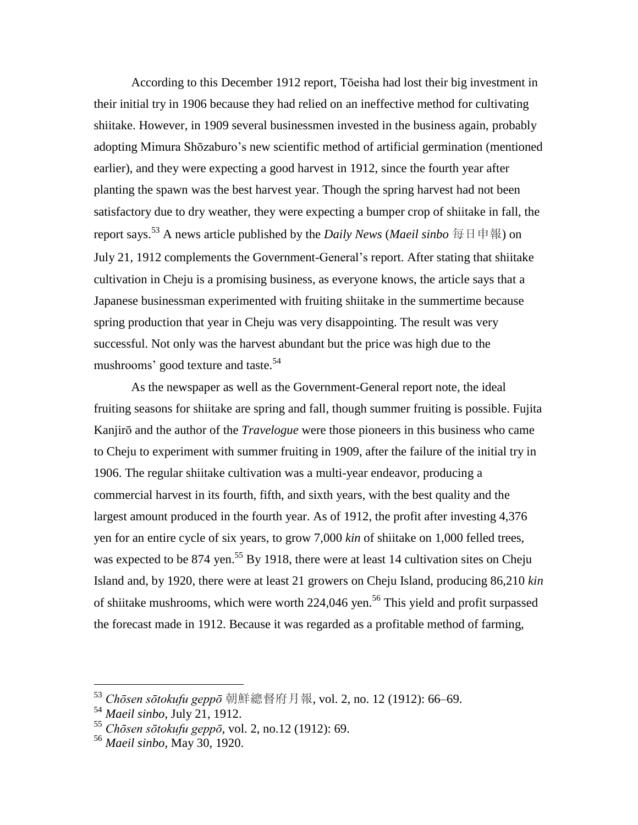According to this December 1912 report, Tōeisha had lost their big investment in their initial try in 1906 because they had relied on an ineffective method for cultivating shiitake. However, in 1909 several businessmen invested in the business again, probably adopting Mimura Shōzaburo's new scientific method of artificial germination (mentioned earlier), and they were expecting a good harvest in 1912, since the fourth year after planting the spawn was the best harvest year. Though the spring harvest had not been satisfactory due to dry weather, they were expecting a bumper crop of shiitake in fall, the report says.<sup>53</sup> A news article published by the *Daily News* (*Maeil sinbo* 每日申報) on July 21, 1912 complements the Government-General's report. After stating that shiitake cultivation in Cheju is a promising business, as everyone knows, the article says that a Japanese businessman experimented with fruiting shiitake in the summertime because spring production that year in Cheju was very disappointing. The result was very successful. Not only was the harvest abundant but the price was high due to the mushrooms' good texture and taste.<sup>54</sup>

As the newspaper as well as the Government-General report note, the ideal fruiting seasons for shiitake are spring and fall, though summer fruiting is possible. Fujita Kanjirō and the author of the *Travelogue* were those pioneers in this business who came to Cheju to experiment with summer fruiting in 1909, after the failure of the initial try in 1906. The regular shiitake cultivation was a multi-year endeavor, producing a commercial harvest in its fourth, fifth, and sixth years, with the best quality and the largest amount produced in the fourth year. As of 1912, the profit after investing 4,376 yen for an entire cycle of six years, to grow 7,000 *kin* of shiitake on 1,000 felled trees, was expected to be 874 yen.<sup>55</sup> By 1918, there were at least 14 cultivation sites on Cheju Island and, by 1920, there were at least 21 growers on Cheju Island, producing 86,210 *kin* of shiitake mushrooms, which were worth 224,046 yen.<sup>56</sup> This yield and profit surpassed the forecast made in 1912. Because it was regarded as a profitable method of farming,

<sup>53</sup> *Chōsen sōtokufu geppō* 朝鮮總督府月報, vol. 2, no. 12 (1912): 66–69.

<sup>54</sup> *Maeil sinbo*, July 21, 1912.

<sup>55</sup> *Chōsen sōtokufu geppō*, vol. 2, no.12 (1912): 69.

<sup>56</sup> *Maeil sinbo*, May 30, 1920.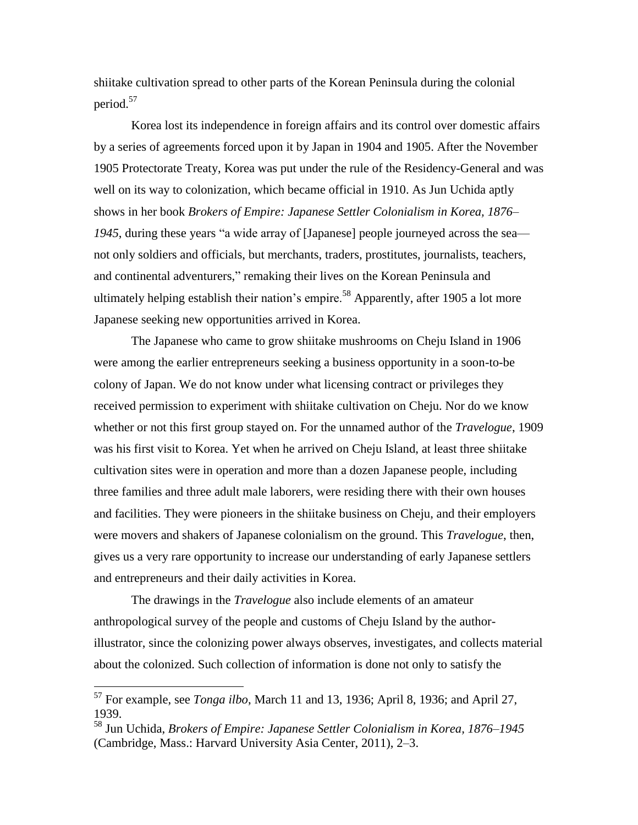shiitake cultivation spread to other parts of the Korean Peninsula during the colonial period.<sup>57</sup>

Korea lost its independence in foreign affairs and its control over domestic affairs by a series of agreements forced upon it by Japan in 1904 and 1905. After the November 1905 Protectorate Treaty, Korea was put under the rule of the Residency-General and was well on its way to colonization, which became official in 1910. As Jun Uchida aptly shows in her book *Brokers of Empire: Japanese Settler Colonialism in Korea, 1876– 1945*, during these years "a wide array of [Japanese] people journeyed across the sea not only soldiers and officials, but merchants, traders, prostitutes, journalists, teachers, and continental adventurers," remaking their lives on the Korean Peninsula and ultimately helping establish their nation's empire.<sup>58</sup> Apparently, after 1905 a lot more Japanese seeking new opportunities arrived in Korea.

The Japanese who came to grow shiitake mushrooms on Cheju Island in 1906 were among the earlier entrepreneurs seeking a business opportunity in a soon-to-be colony of Japan. We do not know under what licensing contract or privileges they received permission to experiment with shiitake cultivation on Cheju. Nor do we know whether or not this first group stayed on. For the unnamed author of the *Travelogue*, 1909 was his first visit to Korea. Yet when he arrived on Cheju Island, at least three shiitake cultivation sites were in operation and more than a dozen Japanese people, including three families and three adult male laborers, were residing there with their own houses and facilities. They were pioneers in the shiitake business on Cheju, and their employers were movers and shakers of Japanese colonialism on the ground. This *Travelogue*, then, gives us a very rare opportunity to increase our understanding of early Japanese settlers and entrepreneurs and their daily activities in Korea.

The drawings in the *Travelogue* also include elements of an amateur anthropological survey of the people and customs of Cheju Island by the authorillustrator, since the colonizing power always observes, investigates, and collects material about the colonized. Such collection of information is done not only to satisfy the

<sup>57</sup> For example, see *Tonga ilbo*, March 11 and 13, 1936; April 8, 1936; and April 27, 1939.

<sup>58</sup> Jun Uchida, *Brokers of Empire: Japanese Settler Colonialism in Korea, 1876–1945* (Cambridge, Mass.: Harvard University Asia Center, 2011), 2–3.